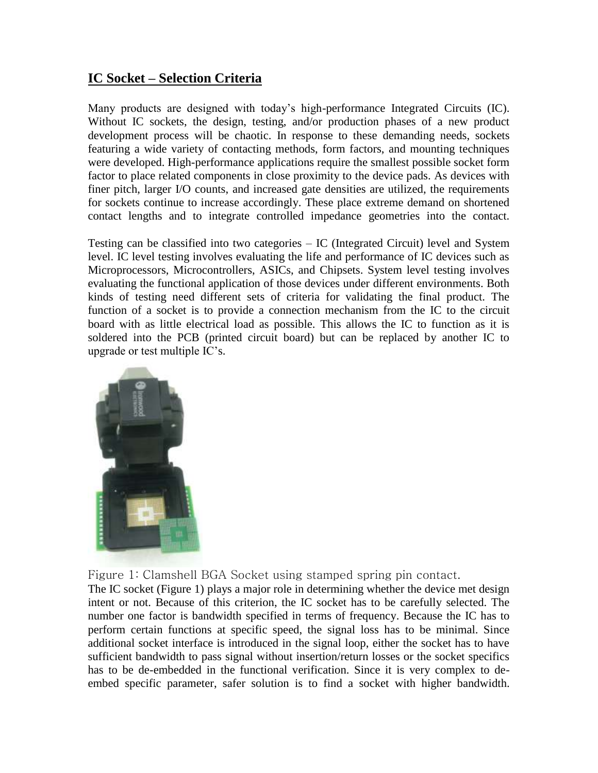## **IC Socket – Selection Criteria**

Many products are designed with today's high-performance Integrated Circuits (IC). Without IC sockets, the design, testing, and/or production phases of a new product development process will be chaotic. In response to these demanding needs, sockets featuring a wide variety of contacting methods, form factors, and mounting techniques were developed. High-performance applications require the smallest possible socket form factor to place related components in close proximity to the device pads. As devices with finer pitch, larger I/O counts, and increased gate densities are utilized, the requirements for sockets continue to increase accordingly. These place extreme demand on shortened contact lengths and to integrate controlled impedance geometries into the contact.

Testing can be classified into two categories – IC (Integrated Circuit) level and System level. IC level testing involves evaluating the life and performance of IC devices such as Microprocessors, Microcontrollers, ASICs, and Chipsets. System level testing involves evaluating the functional application of those devices under different environments. Both kinds of testing need different sets of criteria for validating the final product. The function of a socket is to provide a connection mechanism from the IC to the circuit board with as little electrical load as possible. This allows the IC to function as it is soldered into the PCB (printed circuit board) but can be replaced by another IC to upgrade or test multiple IC's.



Figure 1: Clamshell BGA Socket using stamped spring pin contact.

The IC socket (Figure 1) plays a major role in determining whether the device met design intent or not. Because of this criterion, the IC socket has to be carefully selected. The number one factor is bandwidth specified in terms of frequency. Because the IC has to perform certain functions at specific speed, the signal loss has to be minimal. Since additional socket interface is introduced in the signal loop, either the socket has to have sufficient bandwidth to pass signal without insertion/return losses or the socket specifics has to be de-embedded in the functional verification. Since it is very complex to deembed specific parameter, safer solution is to find a socket with higher bandwidth.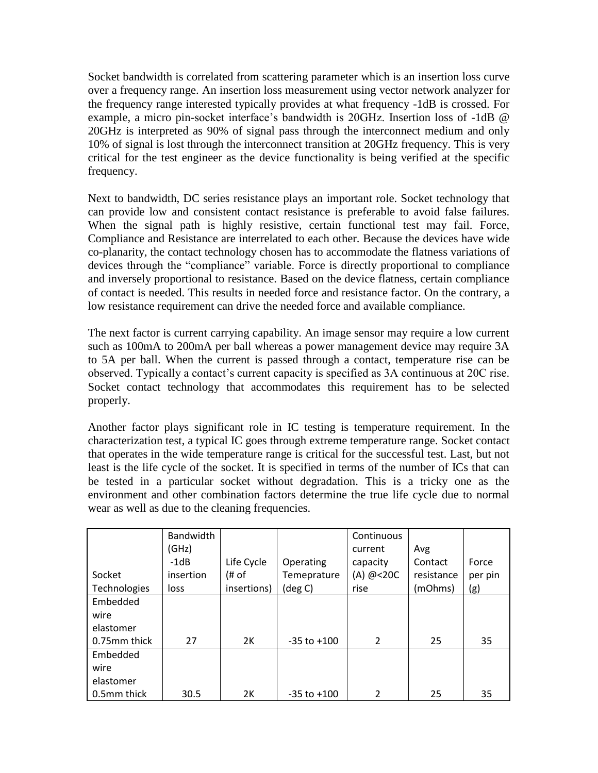Socket bandwidth is correlated from scattering parameter which is an insertion loss curve over a frequency range. An insertion loss measurement using vector network analyzer for the frequency range interested typically provides at what frequency -1dB is crossed. For example, a micro pin-socket interface's bandwidth is 20GHz. Insertion loss of -1dB @ 20GHz is interpreted as 90% of signal pass through the interconnect medium and only 10% of signal is lost through the interconnect transition at 20GHz frequency. This is very critical for the test engineer as the device functionality is being verified at the specific frequency.

Next to bandwidth, DC series resistance plays an important role. Socket technology that can provide low and consistent contact resistance is preferable to avoid false failures. When the signal path is highly resistive, certain functional test may fail. Force, Compliance and Resistance are interrelated to each other. Because the devices have wide co-planarity, the contact technology chosen has to accommodate the flatness variations of devices through the "compliance" variable. Force is directly proportional to compliance and inversely proportional to resistance. Based on the device flatness, certain compliance of contact is needed. This results in needed force and resistance factor. On the contrary, a low resistance requirement can drive the needed force and available compliance.

The next factor is current carrying capability. An image sensor may require a low current such as 100mA to 200mA per ball whereas a power management device may require 3A to 5A per ball. When the current is passed through a contact, temperature rise can be observed. Typically a contact's current capacity is specified as 3A continuous at 20C rise. Socket contact technology that accommodates this requirement has to be selected properly.

Another factor plays significant role in IC testing is temperature requirement. In the characterization test, a typical IC goes through extreme temperature range. Socket contact that operates in the wide temperature range is critical for the successful test. Last, but not least is the life cycle of the socket. It is specified in terms of the number of ICs that can be tested in a particular socket without degradation. This is a tricky one as the environment and other combination factors determine the true life cycle due to normal wear as well as due to the cleaning frequencies.

|              | Bandwidth |             |                 | Continuous |            |         |
|--------------|-----------|-------------|-----------------|------------|------------|---------|
|              | (GHz)     |             |                 | current    | Avg        |         |
|              | $-1dB$    | Life Cycle  | Operating       | capacity   | Contact    | Force   |
| Socket       | insertion | # of        | Temeprature     | (A) $@20C$ | resistance | per pin |
| Technologies | loss      | insertions) | (deg C)         | rise       | (mOhms)    | (g)     |
| Embedded     |           |             |                 |            |            |         |
| wire         |           |             |                 |            |            |         |
| elastomer    |           |             |                 |            |            |         |
| 0.75mm thick | 27        | 2K          | $-35$ to $+100$ | 2          | 25         | 35      |
| Embedded     |           |             |                 |            |            |         |
| wire         |           |             |                 |            |            |         |
| elastomer    |           |             |                 |            |            |         |
| 0.5mm thick  | 30.5      | 2К          | $-35$ to $+100$ | 2          | 25         | 35      |